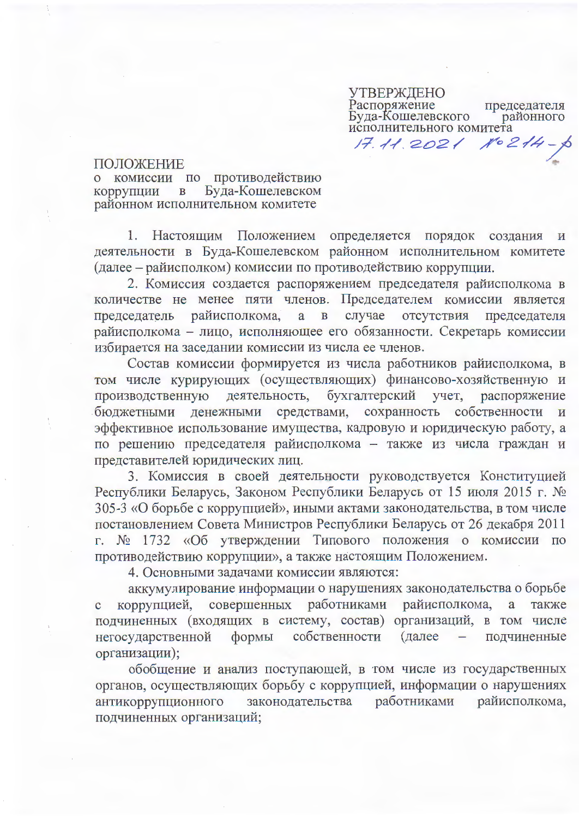УТВЕРЖДЕНО Распоряжение председателя Буда-Кошелевского районного исполнительного комитета 17.11.2021 No214

ПОЛОЖЕНИЕ

о комиссии по противодействию Буда-Кошелевском коррупции в районном исполнительном комитете

1. Настоящим Положением определяется порядок создания и деятельности в Буда-Кошелевском районном исполнительном комитете (далее – райисполком) комиссии по противодействию коррупции.

2. Комиссия создается распоряжением председателя райисполкома в количестве не менее пяти членов. Председателем комиссии является случае отсутствия председатель райисполкома, а в председателя райисполкома - лицо, исполняющее его обязанности. Секретарь комиссии избирается на заседании комиссии из числа ее членов.

Состав комиссии формируется из числа работников райисполкома, в том числе курирующих (осуществляющих) финансово-хозяйственную и производственную деятельность, бухгалтерский учет, распоряжение бюджетными денежными средствами, сохранность собственности и эффективное использование имущества, кадровую и юридическую работу, а по решению председателя райисполкома - также из числа граждан и представителей юридических лиц.

3. Комиссия в своей деятельности руководствуется Конституцией Республики Беларусь, Законом Республики Беларусь от 15 июля 2015 г. № 305-3 «О борьбе с коррупцией», иными актами законодательства, в том числе постановлением Совета Министров Республики Беларусь от 26 декабря 2011 г. № 1732 «Об утверждении Типового положения о комиссии по противодействию коррупции», а также настоящим Положением.

4. Основными задачами комиссии являются:

аккумулирование информации о нарушениях законодательства о борьбе коррупцией, совершенных работниками райисполкома, a также подчиненных (входящих в систему, состав) организаций, в том числе негосударственной собственности (далее - подчиненные формы организации);

обобщение и анализ поступающей, в том числе из государственных органов, осуществляющих борьбу с коррупцией, информации о нарушениях законодательства работниками райисполкома. антикоррупционного подчиненных организаций;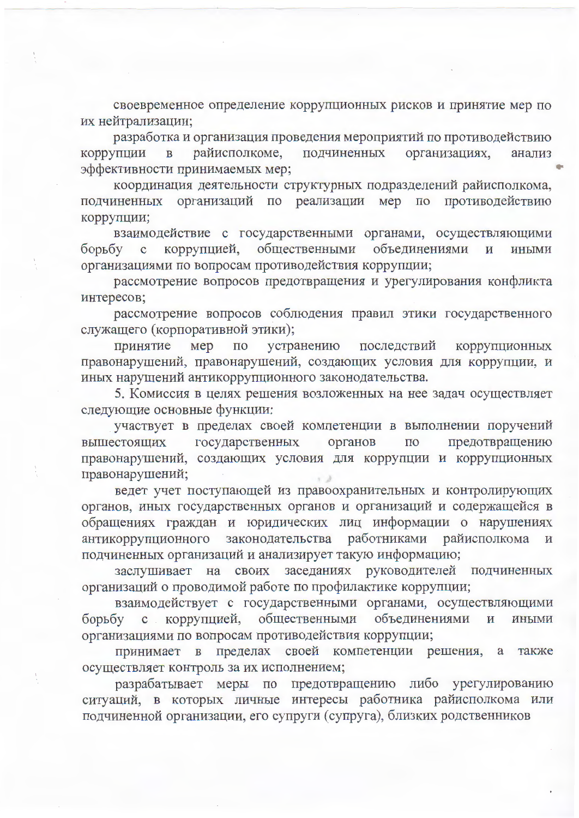своевременное определение коррупционных рисков и принятие мер по их нейтрализации;

разработка и организация проведения мероприятий по противодействию райисполкоме, подчиненных организациях, коррупции  $\mathbf{B}$ анализ эффективности принимаемых мер;

координация деятельности структурных подразделений райисполкома, подчиненных организаций по реализации мер по противодействию коррупции;

взаимодействие с государственными органами, осуществляющими коррупцией, общественными объединениями борьбу с  $\mathbf{M}$ **ИНЫМИ** организациями по вопросам противодействия коррупции;

рассмотрение вопросов предотвращения и урегулирования конфликта интересов;

рассмотрение вопросов соблюдения правил этики государственного служащего (корпоративной этики);

принятие мер  $\Pi 0$ устранению последствий коррупционных правонарушений, правонарушений, создающих условия для коррупции, и иных нарушений антикоррупционного законодательства.

5. Комиссия в целях решения возложенных на нее задач осуществляет следующие основные функции:

участвует в пределах своей компетенции в выполнении поручений государственных органов  $\Pi$ O предотвращению вышестоящих правонарушений, создающих условия для коррупции и коррупционных правонарушений;

ведет учет поступающей из правоохранительных и контролирующих органов, иных государственных органов и организаций и содержащейся в обращениях граждан и юридических лиц информации о нарушениях антикоррупционного законодательства работниками райисполкома и подчиненных организаций и анализирует такую информацию;

заслушивает на своих заседаниях руководителей подчиненных организаций о проводимой работе по профилактике коррупции;

взаимодействует с государственными органами, осуществляющими коррупцией, общественными объединениями  $\overline{\mathbf{M}}$ борьбу  $\mathbf{C}$ иными организациями по вопросам противодействия коррупции;

пределах своей компетенции решения, а принимает в также осуществляет контроль за их исполнением;

разрабатывает меры по предотвращению либо урегулированию ситуаций, в которых личные интересы работника райисполкома или подчиненной организации, его супруги (супруга), близких родственников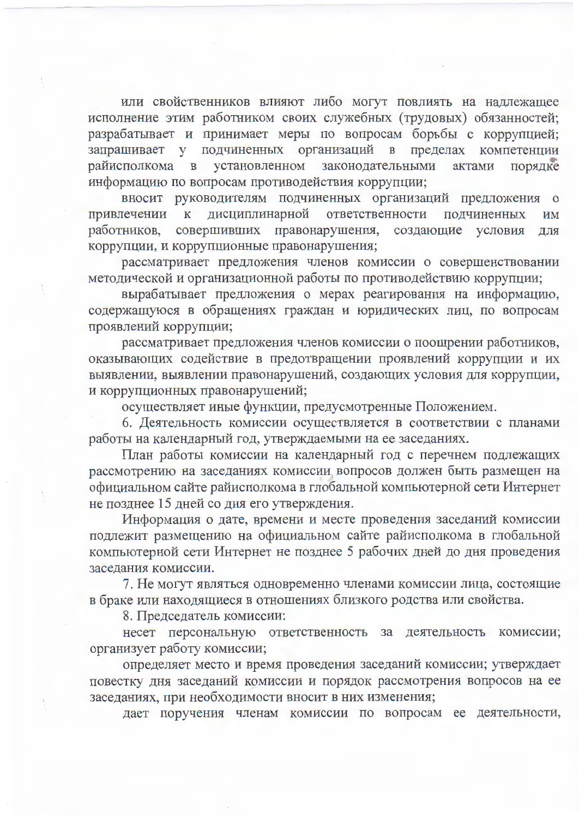или свойственников влияют либо могут повлиять на надлежащее исполнение этим работником своих служебных (трудовых) обязанностей; разрабатывает и принимает меры по вопросам борьбы с коррупцией; запрашивает у подчиненных организаций в пределах компетенции в установленном законодательными райисполкома актами порядке информацию по вопросам противодействия коррупции;

вносит руководителям подчиненных организаций предложения о дисциплинарной ответственности подчиненных привлечении к ИМ совершивших правонарушения, работников, создающие условия ЛЛЯ коррупции, и коррупционные правонарушения;

рассматривает предложения членов комиссии о совершенствовании методической и организационной работы по противодействию коррупции;

вырабатывает предложения о мерах реагирования на информацию, содержащуюся в обращениях граждан и юридических лиц, по вопросам проявлений коррупции;

рассматривает предложения членов комиссии о поощрении работников, оказывающих содействие в предотвращении проявлений коррупции и их выявлении, выявлении правонарушений, создающих условия для коррупции, и коррупционных правонарушений;

осуществляет иные функции, предусмотренные Положением.

6. Деятельность комиссии осуществляется в соответствии с планами работы на календарный год, утверждаемыми на ее заседаниях.

План работы комиссии на календарный год с перечнем подлежащих рассмотрению на заседаниях комиссии вопросов должен быть размещен на официальном сайте райисполкома в глобальной компьютерной сети Интернет не позднее 15 дней со дня его утверждения.

Информация о дате, времени и месте проведения заседаний комиссии подлежит размещению на официальном сайте райисполкома в глобальной компьютерной сети Интернет не позднее 5 рабочих дней до дня проведения заседания комиссии.

7. Не могут являться одновременно членами комиссии лица, состоящие в браке или находящиеся в отношениях близкого родства или свойства.

8. Председатель комиссии:

несет персональную ответственность за деятельность комиссии; организует работу комиссии;

определяет место и время проведения заседаний комиссии; утверждает повестку дня заседаний комиссии и порядок рассмотрения вопросов на ее заседаниях, при необходимости вносит в них изменения;

дает поручения членам комиссии по вопросам ее деятельности,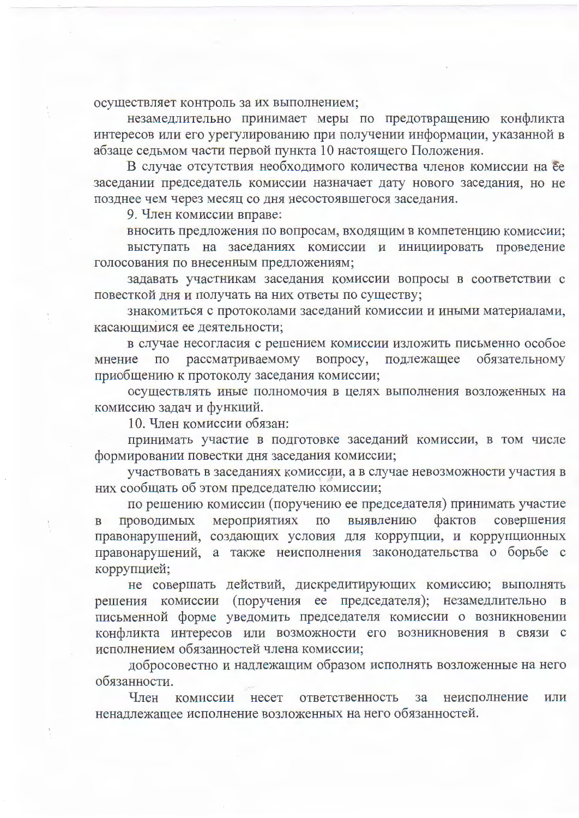осуществляет контроль за их выполнением;

незамедлительно принимает меры по предотвращению конфликта интересов или его урегулированию при получении информации, указанной в абзаце седьмом части первой пункта 10 настоящего Положения.

В случае отсутствия необходимого количества членов комиссии на ее заседании председатель комиссии назначает дату нового заседания, но не позднее чем через месяц со дня несостоявшегося заседания.

9. Член комиссии вправе:

вносить предложения по вопросам, входящим в компетенцию комиссии; выступать на заседаниях комиссии и инициировать проведение голосования по внесенным предложениям;

задавать участникам заседания комиссии вопросы в соответствии с повесткой дня и получать на них ответы по существу;

знакомиться с протоколами заседаний комиссии и иными материалами, касающимися ее деятельности;

в случае несогласия с решением комиссии изложить письменно особое мнение по рассматриваемому вопросу, подлежащее обязательному приобщению к протоколу заседания комиссии;

осуществлять иные полномочия в целях выполнения возложенных на комиссию задач и функций.

10. Член комиссии обязан:

принимать участие в подготовке заседаний комиссии, в том числе формировании повестки дня заседания комиссии;

участвовать в заседаниях комиссии, а в случае невозможности участия в них сообщать об этом председателю комиссии;

по решению комиссии (поручению ее председателя) принимать участие проводимых мероприятиях по выявлению фактов совершения  $\mathbf{B}$ правонарушений, создающих условия для коррупции, и коррупционных правонарушений, а также неисполнения законодательства о борьбе с коррупцией;

не совершать действий, дискредитирующих комиссию; выполнять решения комиссии (поручения ее председателя); незамедлительно в письменной форме уведомить председателя комиссии о возникновении конфликта интересов или возможности его возникновения в связи с исполнением обязанностей члена комиссии;

добросовестно и надлежащим образом исполнять возложенные на него обязанности.

Член комиссии несет ответственность  $3a$ неисполнение ИЛИ ненадлежащее исполнение возложенных на него обязанностей.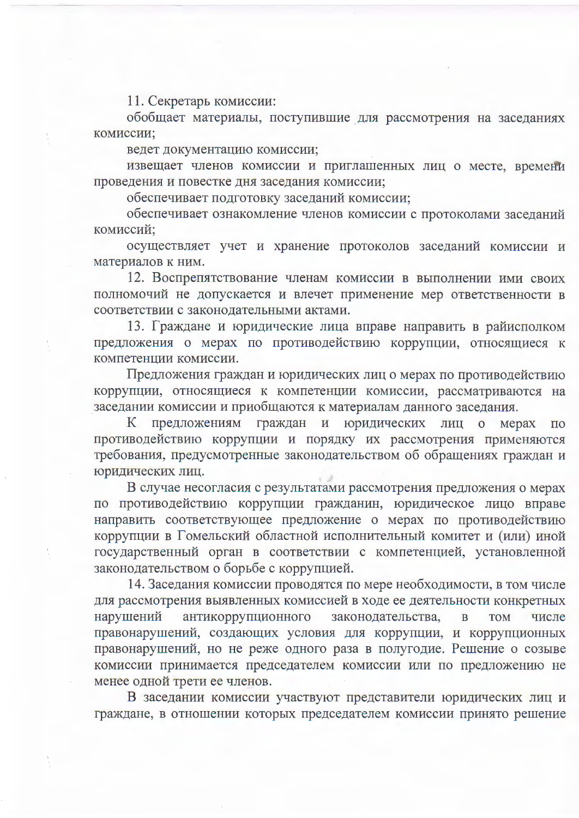11. Секретарь комиссии:

обобщает материалы, поступившие для рассмотрения на заседаниях комиссии;

ведет документацию комиссии;

извещает членов комиссии и приглашенных лиц о месте, времени проведения и повестке дня заседания комиссии;

обеспечивает подготовку заседаний комиссии;

обеспечивает ознакомление членов комиссии с протоколами заседаний комиссий;

осуществляет учет и хранение протоколов заседаний комиссии и материалов к ним.

12. Воспрепятствование членам комиссии в выполнении ими своих полномочий не допускается и влечет применение мер ответственности в соответствии с законодательными актами.

13. Граждане и юридические лица вправе направить в райисполком предложения о мерах по противодействию коррупции, относящиеся к компетенции комиссии.

Предложения граждан и юридических лиц о мерах по противодействию коррупции, относящиеся к компетенции комиссии, рассматриваются на заседании комиссии и приобщаются к материалам данного заседания.

предложениям граждан и юридических  $K_{\parallel}$ лиц о мерах по противодействию коррупции и порядку их рассмотрения применяются требования, предусмотренные законодательством об обращениях граждан и юридических лиц.

в случае несогласия с результатами рассмотрения предложения о мерах по противодействию коррупции гражданин, юридическое лицо вправе направить соответствующее предложение о мерах по противодействию коррупции в Гомельский областной исполнительный комитет и (или) иной государственный орган в соответствии с компетенцией, установленной законодательством о борьбе с коррупцией.

14. Заседания комиссии проводятся по мере необходимости, в том числе для рассмотрения выявленных комиссией в ходе ее деятельности конкретных антикоррупционного нарушений законодательства,  $\overline{B}$ **TOM** числе правонарушений, создающих условия для коррупции, и коррупционных правонарушений, но не реже одного раза в полугодие. Решение о созыве комиссии принимается председателем комиссии или по предложению не менее одной трети ее членов.

В заседании комиссии участвуют представители юридических лиц и граждане, в отношении которых председателем комиссии принято решение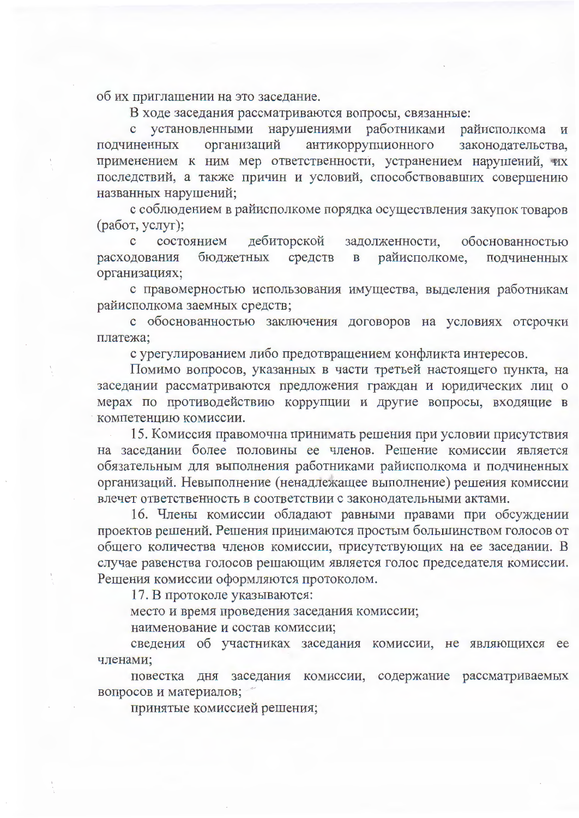об их приглашении на это заседание.

В ходе заседания рассматриваются вопросы, связанные:

с установленными нарушениями работниками райисполкома  $\,$  M антикоррупционного подчиненных организаций законодательства. применением к ним мер ответственности, устранением нарушений, их последствий, а также причин и условий, способствовавших совершению названных нарушений;

с соблюдением в райисполкоме порядка осуществления закупок товаров (работ, услуг);

дебиторской  $\mathbf{C}$ состоянием задолженности, обоснованностью расходования бюджетных средств райисполкоме,  $\overline{B}$ подчиненных организациях;

с правомерностью использования имущества, выделения работникам райисполкома заемных средств;

с обоснованностью заключения договоров на условиях отсрочки платежа:

с урегулированием либо предотвращением конфликта интересов.

Помимо вопросов, указанных в части третьей настоящего пункта, на заседании рассматриваются предложения граждан и юридических лиц о мерах по противодействию коррупции и другие вопросы, входящие в компетенцию комиссии.

15. Комиссия правомочна принимать решения при условии присутствия на заседании более половины ее членов. Решение комиссии является обязательным для выполнения работниками райисполкома и подчиненных организаций. Невыполнение (ненадлежащее выполнение) решения комиссии влечет ответственность в соответствии с законодательными актами.

16. Члены комиссии обладают равными правами при обсуждении проектов решений. Решения принимаются простым большинством голосов от общего количества членов комиссии, присутствующих на ее заседании. В случае равенства голосов решающим является голос председателя комиссии. Решения комиссии оформляются протоколом.

17. В протоколе указываются:

место и время проведения заседания комиссии;

наименование и состав комиссии;

сведения об участниках заседания комиссии, не являющихся ее членами;

повестка дня заседания комиссии, содержание рассматриваемых вопросов и материалов;

принятые комиссией решения;